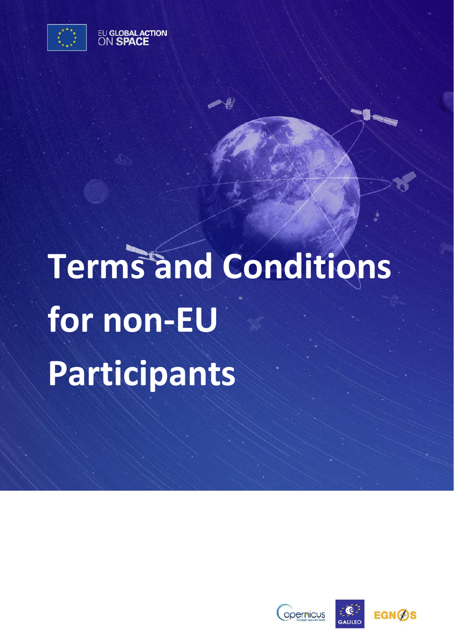

EU GLOBAL ACTION

# **Terms and Conditions for non-EU Participants**

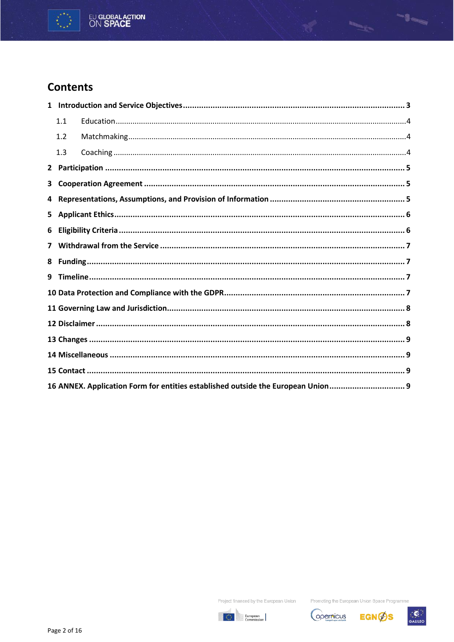

# **Contents**

|                                                                                | 1.1 |  |
|--------------------------------------------------------------------------------|-----|--|
|                                                                                | 1.2 |  |
|                                                                                | 1.3 |  |
|                                                                                |     |  |
| 3                                                                              |     |  |
| 4                                                                              |     |  |
| 5                                                                              |     |  |
| 6                                                                              |     |  |
|                                                                                |     |  |
| 8                                                                              |     |  |
| 9                                                                              |     |  |
|                                                                                |     |  |
|                                                                                |     |  |
|                                                                                |     |  |
|                                                                                |     |  |
|                                                                                |     |  |
|                                                                                |     |  |
| 16 ANNEX. Application Form for entities established outside the European Union |     |  |





Promoting the European Union Space Programme



--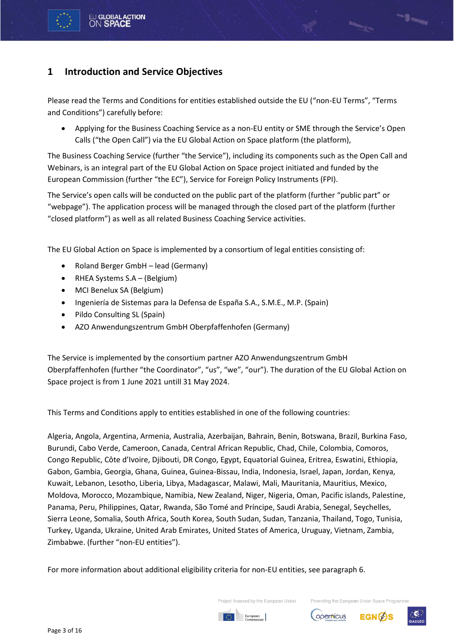

# <span id="page-2-0"></span>**1 Introduction and Service Objectives**

Please read the Terms and Conditions for entities established outside the EU ("non-EU Terms", "Terms and Conditions") carefully before:

• Applying for the Business Coaching Service as a non-EU entity or SME through the Service's Open Calls ("the Open Call") via the EU Global Action on Space platform (the platform),

The Business Coaching Service (further "the Service"), including its components such as the Open Call and Webinars, is an integral part of the EU Global Action on Space project initiated and funded by the European Commission (further "the EC"), Service for Foreign Policy Instruments (FPI).

The Service's open calls will be conducted on the public part of the platform (further "public part" or "webpage"). The application process will be managed through the closed part of the platform (further "closed platform") as well as all related Business Coaching Service activities.

The EU Global Action on Space is implemented by a consortium of legal entities consisting of:

- Roland Berger GmbH lead (Germany)
- RHEA Systems S.A (Belgium)
- MCI Benelux SA (Belgium)
- Ingeniería de Sistemas para la Defensa de España S.A., S.M.E., M.P. (Spain)
- Pildo Consulting SL (Spain)
- AZO Anwendungszentrum GmbH Oberpfaffenhofen (Germany)

The Service is implemented by the consortium partner AZO Anwendungszentrum GmbH Oberpfaffenhofen (further "the Coordinator", "us", "we", "our"). The duration of the EU Global Action on Space project is from 1 June 2021 untill 31 May 2024.

This Terms and Conditions apply to entities established in one of the following countries:

Algeria, Angola, Argentina, Armenia, Australia, Azerbaijan, Bahrain, Benin, Botswana, Brazil, Burkina Faso, Burundi, Cabo Verde, Cameroon, Canada, Central African Republic, Chad, Chile, Colombia, Comoros, Congo Republic, Côte d'Ivoire, Djibouti, DR Congo, Egypt, Equatorial Guinea, Eritrea, Eswatini, Ethiopia, Gabon, Gambia, Georgia, Ghana, Guinea, Guinea-Bissau, India, Indonesia, Israel, Japan, Jordan, Kenya, Kuwait, Lebanon, Lesotho, Liberia, Libya, Madagascar, Malawi, Mali, Mauritania, Mauritius, Mexico, Moldova, Morocco, Mozambique, Namibia, New Zealand, Niger, Nigeria, Oman, Pacific islands, Palestine, Panama, Peru, Philippines, Qatar, Rwanda, São Tomé and Príncipe, Saudi Arabia, Senegal, Seychelles, Sierra Leone, Somalia, South Africa, South Korea, South Sudan, Sudan, Tanzania, Thailand, Togo, Tunisia, Turkey, Uganda, Ukraine, United Arab Emirates, United States of America, Uruguay, Vietnam, Zambia, Zimbabwe. (further "non-EU entities").

For more information about additional eligibility criteria for non-EU entities, see paragraph 6.



Promoting the European Union Space Programn



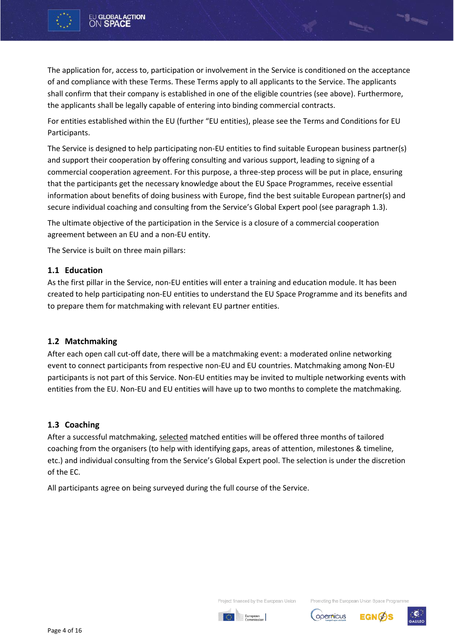

The application for, access to, participation or involvement in the Service is conditioned on the acceptance of and compliance with these Terms. These Terms apply to all applicants to the Service. The applicants shall confirm that their company is established in one of the eligible countries (see above). Furthermore, the applicants shall be legally capable of entering into binding commercial contracts.

For entities established within the EU (further "EU entities), please see the Terms and Conditions for EU Participants.

The Service is designed to help participating non-EU entities to find suitable European business partner(s) and support their cooperation by offering consulting and various support, leading to signing of a commercial cooperation agreement. For this purpose, a three-step process will be put in place, ensuring that the participants get the necessary knowledge about the EU Space Programmes, receive essential information about benefits of doing business with Europe, find the best suitable European partner(s) and secure individual coaching and consulting from the Service's Global Expert pool (see paragraph 1.3).

The ultimate objective of the participation in the Service is a closure of a commercial cooperation agreement between an EU and a non-EU entity.

The Service is built on three main pillars:

#### <span id="page-3-0"></span>**1.1 Education**

As the first pillar in the Service, non-EU entities will enter a training and education module. It has been created to help participating non-EU entities to understand the EU Space Programme and its benefits and to prepare them for matchmaking with relevant EU partner entities.

#### <span id="page-3-1"></span>**1.2 Matchmaking**

After each open call cut-off date, there will be a matchmaking event: a moderated online networking event to connect participants from respective non-EU and EU countries. Matchmaking among Non-EU participants is not part of this Service. Non-EU entities may be invited to multiple networking events with entities from the EU. Non-EU and EU entities will have up to two months to complete the matchmaking.

#### <span id="page-3-2"></span>**1.3 Coaching**

After a successful matchmaking, selected matched entities will be offered three months of tailored coaching from the organisers (to help with identifying gaps, areas of attention, milestones & timeline, etc.) and individual consulting from the Service's Global Expert pool. The selection is under the discretion of the EC.

All participants agree on being surveyed during the full course of the Service.

Project financed by the European Union



Promoting the European Union Space Programn





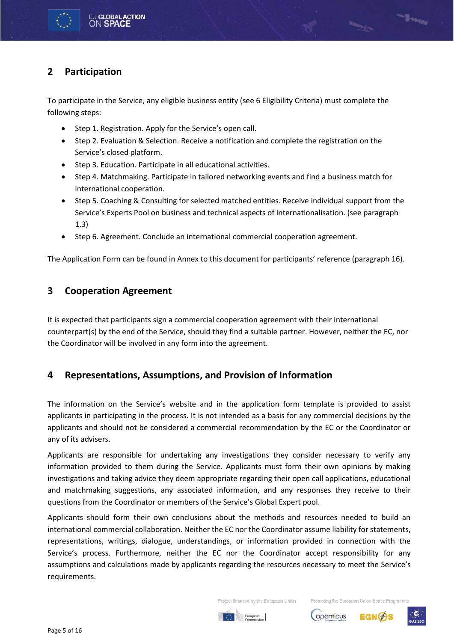

# <span id="page-4-0"></span>**2 Participation**

To participate in the Service, any eligible business entity (see 6 Eligibility Criteria) must complete the following steps:

- Step 1. Registration. Apply for the Service's open call.
- Step 2. Evaluation & Selection. Receive a notification and complete the registration on the Service's closed platform.
- Step 3. Education. Participate in all educational activities.
- Step 4. Matchmaking. Participate in tailored networking events and find a business match for international cooperation.
- Step 5. Coaching & Consulting for selected matched entities. Receive individual support from the Service's Experts Pool on business and technical aspects of internationalisation. (see paragraph 1.3)
- Step 6. Agreement. Conclude an international commercial cooperation agreement.

The Application Form can be found in Annex to this document for participants' reference (paragraph 16).

#### <span id="page-4-1"></span>**3 Cooperation Agreement**

It is expected that participants sign a commercial cooperation agreement with their international counterpart(s) by the end of the Service, should they find a suitable partner. However, neither the EC, nor the Coordinator will be involved in any form into the agreement.

## <span id="page-4-2"></span>**4 Representations, Assumptions, and Provision of Information**

The information on the Service's website and in the application form template is provided to assist applicants in participating in the process. It is not intended as a basis for any commercial decisions by the applicants and should not be considered a commercial recommendation by the EC or the Coordinator or any of its advisers.

Applicants are responsible for undertaking any investigations they consider necessary to verify any information provided to them during the Service. Applicants must form their own opinions by making investigations and taking advice they deem appropriate regarding their open call applications, educational and matchmaking suggestions, any associated information, and any responses they receive to their questions from the Coordinator or members of the Service's Global Expert pool.

Applicants should form their own conclusions about the methods and resources needed to build an international commercial collaboration. Neither the EC nor the Coordinator assume liability for statements, representations, writings, dialogue, understandings, or information provided in connection with the Service's process. Furthermore, neither the EC nor the Coordinator accept responsibility for any assumptions and calculations made by applicants regarding the resources necessary to meet the Service's requirements.

Project financed by the European Union



Promoting the European Union Space Programme



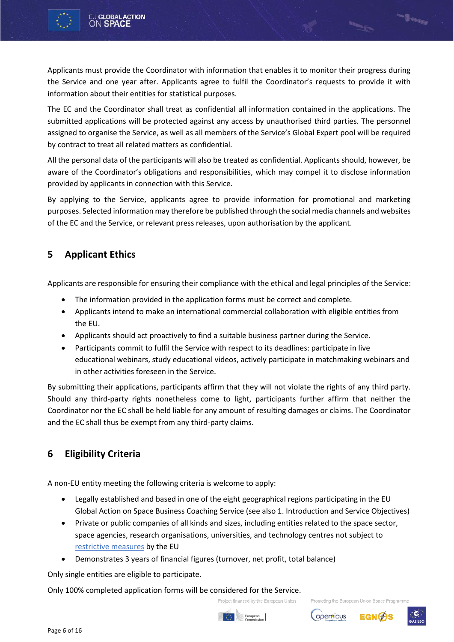

Applicants must provide the Coordinator with information that enables it to monitor their progress during the Service and one year after. Applicants agree to fulfil the Coordinator's requests to provide it with information about their entities for statistical purposes.

The EC and the Coordinator shall treat as confidential all information contained in the applications. The submitted applications will be protected against any access by unauthorised third parties. The personnel assigned to organise the Service, as well as all members of the Service's Global Expert pool will be required by contract to treat all related matters as confidential.

All the personal data of the participants will also be treated as confidential. Applicants should, however, be aware of the Coordinator's obligations and responsibilities, which may compel it to disclose information provided by applicants in connection with this Service.

By applying to the Service, applicants agree to provide information for promotional and marketing purposes. Selected information may therefore be published through the social media channels and websites of the EC and the Service, or relevant press releases, upon authorisation by the applicant.

# <span id="page-5-0"></span>**5 Applicant Ethics**

Applicants are responsible for ensuring their compliance with the ethical and legal principles of the Service:

- The information provided in the application forms must be correct and complete.
- Applicants intend to make an international commercial collaboration with eligible entities from the EU.
- Applicants should act proactively to find a suitable business partner during the Service.
- Participants commit to fulfil the Service with respect to its deadlines: participate in live educational webinars, study educational videos, actively participate in matchmaking webinars and in other activities foreseen in the Service.

By submitting their applications, participants affirm that they will not violate the rights of any third party. Should any third-party rights nonetheless come to light, participants further affirm that neither the Coordinator nor the EC shall be held liable for any amount of resulting damages or claims. The Coordinator and the EC shall thus be exempt from any third-party claims.

## <span id="page-5-1"></span>**6 Eligibility Criteria**

A non-EU entity meeting the following criteria is welcome to apply:

- Legally established and based in one of the eight geographical regions participating in the EU Global Action on Space Business Coaching Service (see also 1. Introduction and Service Objectives)
- Private or public companies of all kinds and sizes, including entities related to the space sector, space agencies, research organisations, universities, and technology centres not subject to [restrictive measures](https://www.sanctionsmap.eu/#/main) by the EU
- Demonstrates 3 years of financial figures (turnover, net profit, total balance)

Only single entities are eligible to participate.

Only 100% completed application forms will be considered for the Service.

Promoting the European Union Space Programm



Project financed by the European Union





**Second**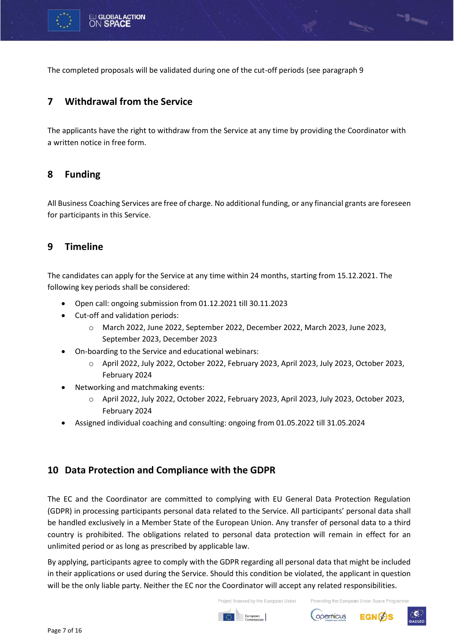

<span id="page-6-0"></span>The completed proposals will be validated during one of the cut-off periods (see paragraph 9

## **7 Withdrawal from the Service**

The applicants have the right to withdraw from the Service at any time by providing the Coordinator with a written notice in free form.

## <span id="page-6-1"></span>**8 Funding**

All Business Coaching Services are free of charge. No additional funding, or any financial grants are foreseen for participants in this Service.

## <span id="page-6-2"></span>**9 Timeline**

The candidates can apply for the Service at any time within 24 months, starting from 15.12.2021. The following key periods shall be considered:

- Open call: ongoing submission from 01.12.2021 till 30.11.2023
- Cut-off and validation periods:
	- o March 2022, June 2022, September 2022, December 2022, March 2023, June 2023, September 2023, December 2023
- On-boarding to the Service and educational webinars:
	- o April 2022, July 2022, October 2022, February 2023, April 2023, July 2023, October 2023, February 2024
- Networking and matchmaking events:
	- o April 2022, July 2022, October 2022, February 2023, April 2023, July 2023, October 2023, February 2024
- Assigned individual coaching and consulting: ongoing from 01.05.2022 till 31.05.2024

#### <span id="page-6-3"></span>**10 Data Protection and Compliance with the GDPR**

The EC and the Coordinator are committed to complying with EU General Data Protection Regulation (GDPR) in processing participants personal data related to the Service. All participants' personal data shall be handled exclusively in a Member State of the European Union. Any transfer of personal data to a third country is prohibited. The obligations related to personal data protection will remain in effect for an unlimited period or as long as prescribed by applicable law.

By applying, participants agree to comply with the GDPR regarding all personal data that might be included in their applications or used during the Service. Should this condition be violated, the applicant in question will be the only liable party. Neither the EC nor the Coordinator will accept any related responsibilities.

> Project financed by the European Union Promoting the European Union Space Programme





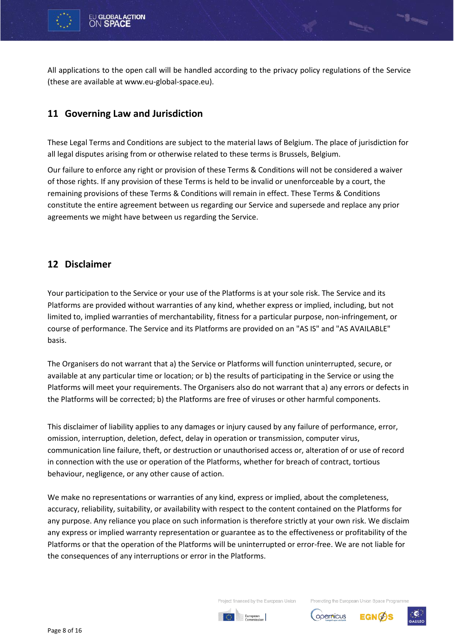

All applications to the open call will be handled according to the privacy policy regulations of the Service (these are available at www.eu-global-space.eu).

# <span id="page-7-0"></span>**11 Governing Law and Jurisdiction**

These Legal Terms and Conditions are subject to the material laws of Belgium. The place of jurisdiction for all legal disputes arising from or otherwise related to these terms is Brussels, Belgium.

Our failure to enforce any right or provision of these Terms & Conditions will not be considered a waiver of those rights. If any provision of these Terms is held to be invalid or unenforceable by a court, the remaining provisions of these Terms & Conditions will remain in effect. These Terms & Conditions constitute the entire agreement between us regarding our Service and supersede and replace any prior agreements we might have between us regarding the Service.

#### <span id="page-7-1"></span>**12 Disclaimer**

Your participation to the Service or your use of the Platforms is at your sole risk. The Service and its Platforms are provided without warranties of any kind, whether express or implied, including, but not limited to, implied warranties of merchantability, fitness for a particular purpose, non-infringement, or course of performance. The Service and its Platforms are provided on an "AS IS" and "AS AVAILABLE" basis.

The Organisers do not warrant that a) the Service or Platforms will function uninterrupted, secure, or available at any particular time or location; or b) the results of participating in the Service or using the Platforms will meet your requirements. The Organisers also do not warrant that a) any errors or defects in the Platforms will be corrected; b) the Platforms are free of viruses or other harmful components.

This disclaimer of liability applies to any damages or injury caused by any failure of performance, error, omission, interruption, deletion, defect, delay in operation or transmission, computer virus, communication line failure, theft, or destruction or unauthorised access or, alteration of or use of record in connection with the use or operation of the Platforms, whether for breach of contract, tortious behaviour, negligence, or any other cause of action.

We make no representations or warranties of any kind, express or implied, about the completeness, accuracy, reliability, suitability, or availability with respect to the content contained on the Platforms for any purpose. Any reliance you place on such information is therefore strictly at your own risk. We disclaim any express or implied warranty representation or guarantee as to the effectiveness or profitability of the Platforms or that the operation of the Platforms will be uninterrupted or error-free. We are not liable for the consequences of any interruptions or error in the Platforms.



Promoting the European Union Space Programm



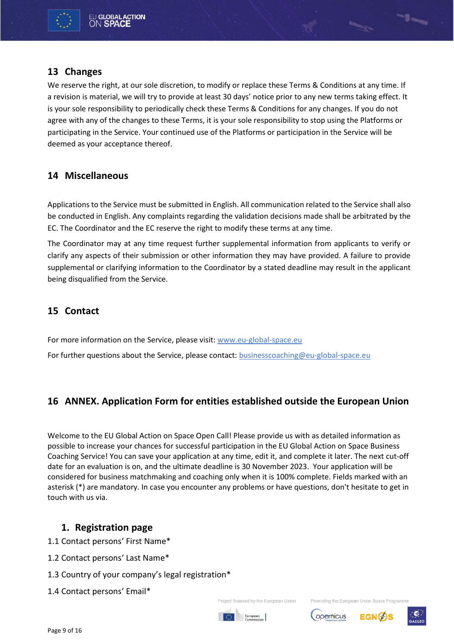#### <span id="page-8-0"></span>**13 Changes**

We reserve the right, at our sole discretion, to modify or replace these Terms & Conditions at any time. If a revision is material, we will try to provide at least 30 days' notice prior to any new terms taking effect. It is your sole responsibility to periodically check these Terms & Conditions for any changes. If you do not agree with any of the changes to these Terms, it is your sole responsibility to stop using the Platforms or participating in the Service. Your continued use of the Platforms or participation in the Service will be deemed as your acceptance thereof.

## <span id="page-8-1"></span>**14 Miscellaneous**

Applications to the Service must be submitted in English. All communication related to the Service shall also be conducted in English. Any complaints regarding the validation decisions made shall be arbitrated by the EC. The Coordinator and the EC reserve the right to modify these terms at any time.

The Coordinator may at any time request further supplemental information from applicants to verify or clarify any aspects of their submission or other information they may have provided. A failure to provide supplemental or clarifying information to the Coordinator by a stated deadline may result in the applicant being disqualified from the Service.

#### <span id="page-8-2"></span>**15 Contact**

For more information on the Service, please visit: [www.eu-global-space.eu](http://www.eu-global-space.eu/) For further questions about the Service, please contact[: businesscoaching@eu-global-space.eu](businesscoaching@eu-global-space.eu)

## <span id="page-8-3"></span>**16 ANNEX. Application Form for entities established outside the European Union**

Welcome to the EU Global Action on Space Open Call! Please provide us with as detailed information as possible to increase your chances for successful participation in the EU Global Action on Space Business Coaching Service! You can save your application at any time, edit it, and complete it later. The next cut-off date for an evaluation is on, and the ultimate deadline is 30 November 2023. Your application will be considered for business matchmaking and coaching only when it is 100% complete. Fields marked with an asterisk (\*) are mandatory. In case you encounter any problems or have questions, don't hesitate to get in touch with us via.

#### **1. Registration page**

- 1.1 Contact persons' First Name\*
- 1.2 Contact persons' Last Name\*
- 1.3 Country of your company's legal registration\*
- 1.4 Contact persons' Email\*

Project financed by the European Union



Promoting the European Union Space Programm



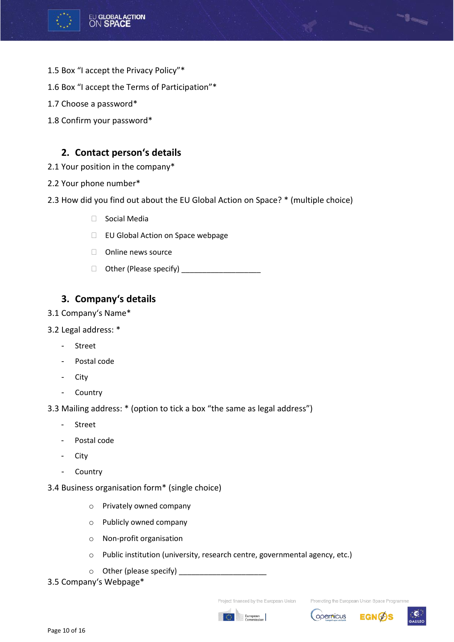

- 1.5 Box "I accept the Privacy Policy"\*
- 1.6 Box "I accept the Terms of Participation"\*
- 1.7 Choose a password\*
- 1.8 Confirm your password\*

# **2. Contact person's details**

- 2.1 Your position in the company\*
- 2.2 Your phone number\*
- 2.3 How did you find out about the EU Global Action on Space? \* (multiple choice)
	- □ Social Media
	- □ EU Global Action on Space webpage
	- □ Online news source
	- □ Other (Please specify)

# **3. Company's details**

3.1 Company's Name\*

#### 3.2 Legal address: \*

- **Street**
- Postal code
- City
- Country

3.3 Mailing address: \* (option to tick a box "the same as legal address")

- Street
- Postal code
- **City**
- Country
- 3.4 Business organisation form\* (single choice)
	- o Privately owned company
	- o Publicly owned company
	- o Non-profit organisation
	- o Public institution (university, research centre, governmental agency, etc.)
	- $\circ$  Other (please specify)
- 3.5 Company's Webpage\*





Promoting the European Union Space Programm

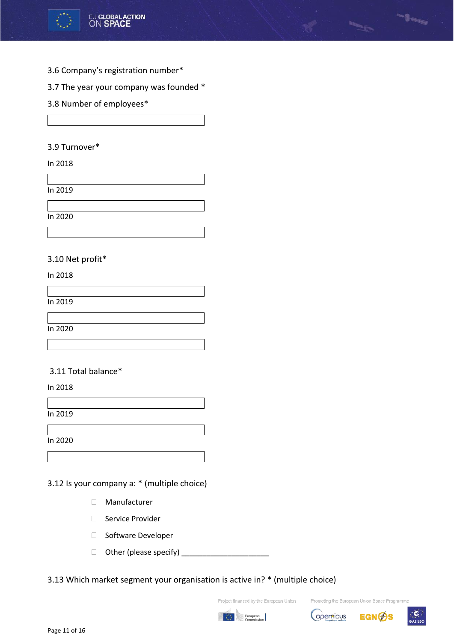

3.6 Company's registration number\*

3.7 The year your company was founded \*

3.8 Number of employees\*

3.9 Turnover\*

In 2018

In 2019

In 2020

#### 3.10 Net profit\*

In 2018

In 2019

In 2020

#### 3.11 Total balance\*

In 2018

In 2019

In 2020

#### 3.12 Is your company a: \* (multiple choice)

- Manufacturer
- □ Service Provider
- □ Software Developer
- □ Other (please specify) \_\_\_\_\_\_\_\_\_\_\_\_\_\_\_

#### 3.13 Which market segment your organisation is active in? \* (multiple choice)

European





Promoting the European Union Space Programme

**Second**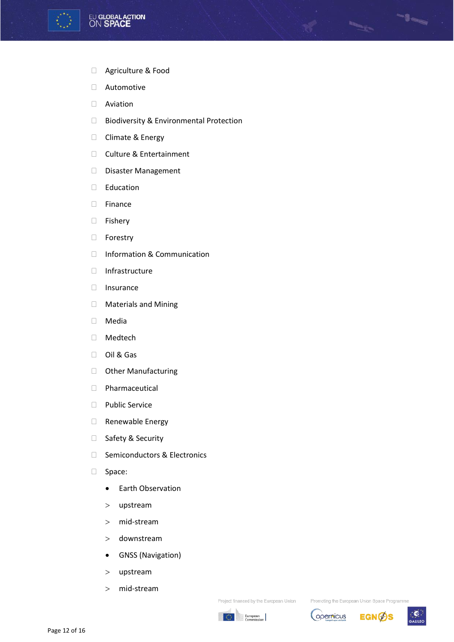

- Agriculture & Food
- Automotive
- Aviation
- □ Biodiversity & Environmental Protection
- □ Climate & Energy
- □ Culture & Entertainment
- Disaster Management
- Education
- Finance
- Fishery
- □ Forestry
- □ Information & Communication
- Infrastructure
- Insurance
- Materials and Mining
- Media
- Medtech
- Oil & Gas
- □ Other Manufacturing
- Pharmaceutical
- D Public Service
- Renewable Energy
- □ Safety & Security
- □ Semiconductors & Electronics
- Space:
	- Earth Observation
	- upstream
	- mid-stream
	- downstream
	- GNSS (Navigation)
	- upstream
	- mid-stream











 $1 - 1$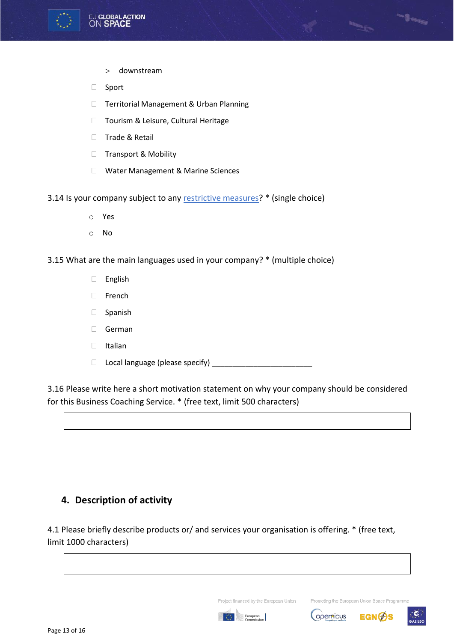

- downstream
- □ Sport
- □ Territorial Management & Urban Planning
- □ Tourism & Leisure, Cultural Heritage
- □ Trade & Retail
- □ Transport & Mobility
- □ Water Management & Marine Sciences
- 3.14 Is your company subject to any [restrictive measures?](https://www.sanctionsmap.eu/#/main) \* (single choice)
	- o Yes
	- o No
- 3.15 What are the main languages used in your company? \* (multiple choice)
	- English
	- □ French
	- Spanish
	- German
	- Italian
	- $\Box$  Local language (please specify)

3.16 Please write here a short motivation statement on why your company should be considered for this Business Coaching Service. \* (free text, limit 500 characters)

## **4. Description of activity**

4.1 Please briefly describe products or/ and services your organisation is offering.  $*$  (free text, limit 1000 characters)

Project financed by the European Union





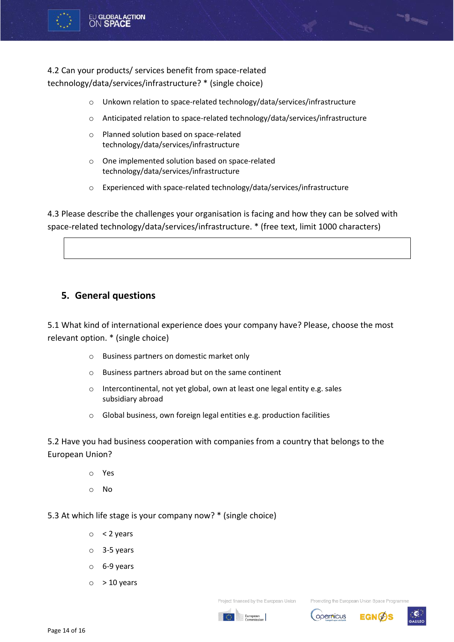

4.2 Can your products/ services benefit from space-related technology/data/services/infrastructure? \* (single choice)

- o Unkown relation to space-related technology/data/services/infrastructure
- o Anticipated relation to space-related technology/data/services/infrastructure
- o Planned solution based on space-related technology/data/services/infrastructure
- o One implemented solution based on space-related technology/data/services/infrastructure
- o Experienced with space-related technology/data/services/infrastructure

4.3 Please describe the challenges your organisation is facing and how they can be solved with space-related technology/data/services/infrastructure. \* (free text, limit 1000 characters)

## **5. General questions**

5.1 What kind of international experience does your company have? Please, choose the most relevant option. \* (single choice)

- o Business partners on domestic market only
- o Business partners abroad but on the same continent
- o Intercontinental, not yet global, own at least one legal entity e.g. sales subsidiary abroad
- o Global business, own foreign legal entities e.g. production facilities

5.2 Have you had business cooperation with companies from a country that belongs to the European Union?

- o Yes
- o No

#### 5.3 At which life stage is your company now? \* (single choice)

- $\circ$  < 2 years
- o 3-5 years
- o 6-9 years
- $\circ$  > 10 years

Project financed by the European Union



Promoting the European Union Space Program





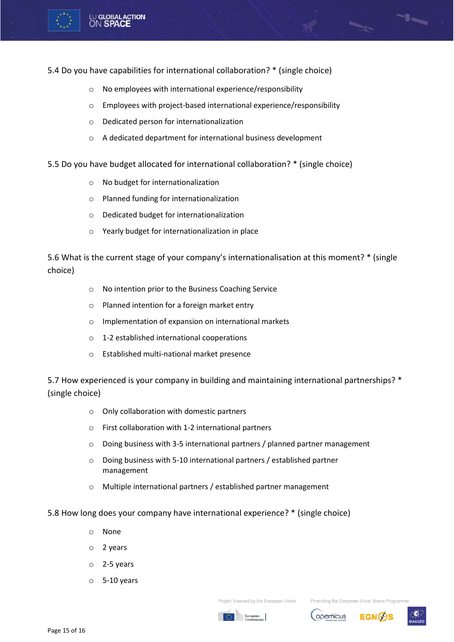

- 5.4 Do you have capabilities for international collaboration? \* (single choice)
	- o No employees with international experience/responsibility
	- o Employees with project-based international experience/responsibility
	- o Dedicated person for internationalization
	- o A dedicated department for international business development
- 5.5 Do you have budget allocated for international collaboration? \* (single choice)
	- o No budget for internationalization
	- o Planned funding for internationalization
	- o Dedicated budget for internationalization
	- o Yearly budget for internationalization in place

5.6 What is the current stage of your company's internationalisation at this moment? \* (single choice)

- o No intention prior to the Business Coaching Service
- o Planned intention for a foreign market entry
- o Implementation of expansion on international markets
- o 1-2 established international cooperations
- o Established multi-national market presence

5.7 How experienced is your company in building and maintaining international partnerships? \* (single choice)

- o Only collaboration with domestic partners
- o First collaboration with 1-2 international partners
- o Doing business with 3-5 international partners / planned partner management
- o Doing business with 5-10 international partners / established partner management
- o Multiple international partners / established partner management
- 5.8 How long does your company have international experience? \* (single choice)
	- o None
	- o 2 years
	- o 2-5 years
	- $\circ$  5-10 years

Project financed by the European Union